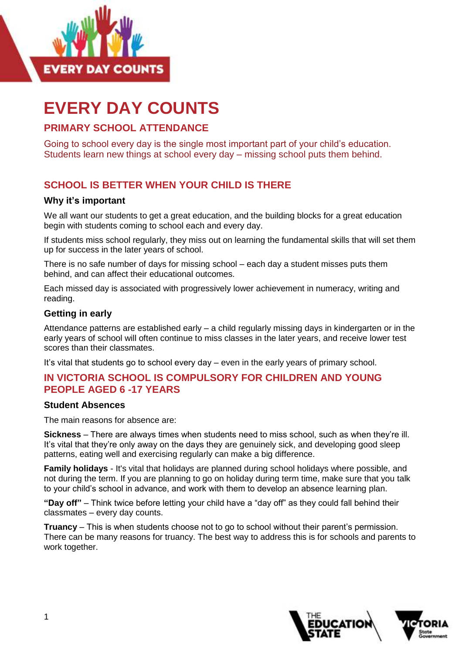

# **EVERY DAY COUNTS**

## **PRIMARY SCHOOL ATTENDANCE**

Going to school every day is the single most important part of your child's education. Students learn new things at school every day – missing school puts them behind.

## **SCHOOL IS BETTER WHEN YOUR CHILD IS THERE**

#### **Why it's important**

We all want our students to get a great education, and the building blocks for a great education begin with students coming to school each and every day.

If students miss school regularly, they miss out on learning the fundamental skills that will set them up for success in the later years of school.

There is no safe number of days for missing school – each day a student misses puts them behind, and can affect their educational outcomes.

Each missed day is associated with progressively lower achievement in numeracy, writing and reading.

#### **Getting in early**

Attendance patterns are established early – a child regularly missing days in kindergarten or in the early years of school will often continue to miss classes in the later years, and receive lower test scores than their classmates.

It's vital that students go to school every day – even in the early years of primary school.

#### **IN VICTORIA SCHOOL IS COMPULSORY FOR CHILDREN AND YOUNG PEOPLE AGED 6 -17 YEARS**

#### **Student Absences**

The main reasons for absence are:

**Sickness** – There are always times when students need to miss school, such as when they're ill. It's vital that they're only away on the days they are genuinely sick, and developing good sleep patterns, eating well and exercising regularly can make a big difference.

**Family holidays** - It's vital that holidays are planned during school holidays where possible, and not during the term. If you are planning to go on holiday during term time, make sure that you talk to your child's school in advance, and work with them to develop an absence learning plan.

**"Day off"** – Think twice before letting your child have a "day off" as they could fall behind their classmates – every day counts.

**Truancy** – This is when students choose not to go to school without their parent's permission. There can be many reasons for truancy. The best way to address this is for schools and parents to work together.